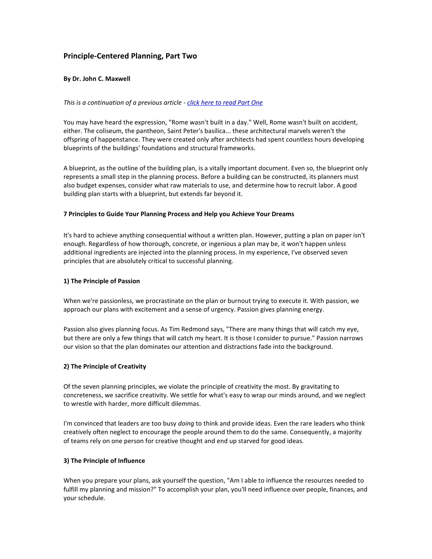# **Principle-Centered Planning, Part Two**

### **By Dr. John C. Maxwell**

### *This is a continuation of a previous article - [click here to read Part One](http://www.giantimpact.com/articles/read/article_principle-centered_planning/)*

You may have heard the expression, "Rome wasn't built in a day." Well, Rome wasn't built on accident, either. The coliseum, the pantheon, Saint Peter's basilica... these architectural marvels weren't the offspring of happenstance. They were created only after architects had spent countless hours developing blueprints of the buildings' foundations and structural frameworks.

A blueprint, as the outline of the building plan, is a vitally important document. Even so, the blueprint only represents a small step in the planning process. Before a building can be constructed, its planners must also budget expenses, consider what raw materials to use, and determine how to recruit labor. A good building plan starts with a blueprint, but extends far beyond it.

#### **7 Principles to Guide Your Planning Process and Help you Achieve Your Dreams**

It's hard to achieve anything consequential without a written plan. However, putting a plan on paper isn't enough. Regardless of how thorough, concrete, or ingenious a plan may be, it won't happen unless additional ingredients are injected into the planning process. In my experience, I've observed seven principles that are absolutely critical to successful planning.

#### **1) The Principle of Passion**

When we're passionless, we procrastinate on the plan or burnout trying to execute it. With passion, we approach our plans with excitement and a sense of urgency. Passion gives planning energy.

Passion also gives planning focus. As Tim Redmond says, "There are many things that will catch my eye, but there are only a few things that will catch my heart. It is those I consider to pursue." Passion narrows our vision so that the plan dominates our attention and distractions fade into the background.

### **2) The Principle of Creativity**

Of the seven planning principles, we violate the principle of creativity the most. By gravitating to concreteness, we sacrifice creativity. We settle for what's easy to wrap our minds around, and we neglect to wrestle with harder, more difficult dilemmas.

I'm convinced that leaders are too busy *doing* to think and provide ideas. Even the rare leaders who think creatively often neglect to encourage the people around them to do the same. Consequently, a majority of teams rely on one person for creative thought and end up starved for good ideas.

#### **3) The Principle of Influence**

When you prepare your plans, ask yourself the question, "Am I able to influence the resources needed to fulfill my planning and mission?" To accomplish your plan, you'll need influence over people, finances, and your schedule.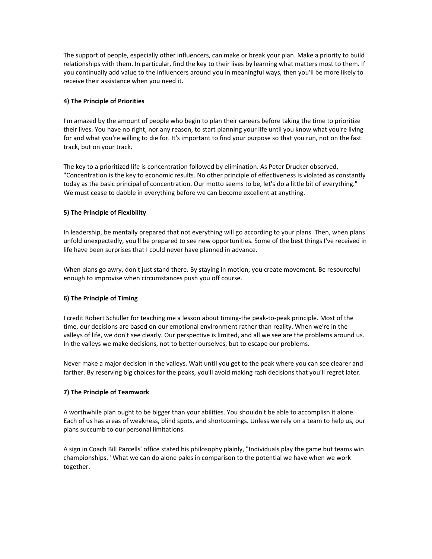The support of people, especially other influencers, can make or break your plan. Make a priority to build relationships with them. In particular, find the key to their lives by learning what matters most to them. If you continually add value to the influencers around you in meaningful ways, then you'll be more likely to receive their assistance when you need it.

## **4) The Principle of Priorities**

I'm amazed by the amount of people who begin to plan their careers before taking the time to prioritize their lives. You have no right, nor any reason, to start planning your life until you know what you're living for and what you're willing to die for. It's important to find your purpose so that you run, not on the fast track, but on your track.

The key to a prioritized life is concentration followed by elimination. As Peter Drucker observed, "Concentration is the key to economic results. No other principle of effectiveness is violated as constantly today as the basic principal of concentration. Our motto seems to be, let's do a little bit of everything." We must cease to dabble in everything before we can become excellent at anything.

## **5) The Principle of Flexibility**

In leadership, be mentally prepared that not everything will go according to your plans. Then, when plans unfold unexpectedly, you'll be prepared to see new opportunities. Some of the best things I've received in life have been surprises that I could never have planned in advance.

When plans go awry, don't just stand there. By staying in motion, you create movement. Be resourceful enough to improvise when circumstances push you off course.

### **6) The Principle of Timing**

I credit Robert Schuller for teaching me a lesson about timing-the peak-to-peak principle. Most of the time, our decisions are based on our emotional environment rather than reality. When we're in the valleys of life, we don't see clearly. Our perspective is limited, and all we see are the problems around us. In the valleys we make decisions, not to better ourselves, but to escape our problems.

Never make a major decision in the valleys. Wait until you get to the peak where you can see clearer and farther. By reserving big choices for the peaks, you'll avoid making rash decisions that you'll regret later.

# **7) The Principle of Teamwork**

A worthwhile plan ought to be bigger than your abilities. You shouldn't be able to accomplish it alone. Each of us has areas of weakness, blind spots, and shortcomings. Unless we rely on a team to help us, our plans succumb to our personal limitations.

A sign in Coach Bill Parcells' office stated his philosophy plainly, "Individuals play the game but teams win championships." What we can do alone pales in comparison to the potential we have when we work together.